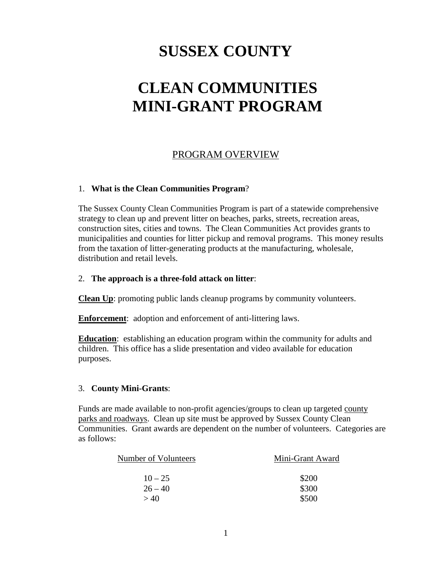# **SUSSEX COUNTY**

# **CLEAN COMMUNITIES MINI-GRANT PROGRAM**

#### PROGRAM OVERVIEW

#### 1. **What is the Clean Communities Program**?

The Sussex County Clean Communities Program is part of a statewide comprehensive strategy to clean up and prevent litter on beaches, parks, streets, recreation areas, construction sites, cities and towns. The Clean Communities Act provides grants to municipalities and counties for litter pickup and removal programs. This money results from the taxation of litter-generating products at the manufacturing, wholesale, distribution and retail levels.

#### 2. **The approach is a three-fold attack on litter**:

**Clean Up**: promoting public lands cleanup programs by community volunteers.

**Enforcement**: adoption and enforcement of anti-littering laws.

**Education**: establishing an education program within the community for adults and children. This office has a slide presentation and video available for education purposes.

#### 3. **County Mini-Grants**:

Funds are made available to non-profit agencies/groups to clean up targeted county parks and roadways. Clean up site must be approved by Sussex County Clean Communities. Grant awards are dependent on the number of volunteers. Categories are as follows:

| Number of Volunteers | Mini-Grant Award |  |
|----------------------|------------------|--|
|                      |                  |  |
| $10 - 25$            | \$200            |  |
| $26 - 40$            | \$300            |  |
| >40                  | \$500            |  |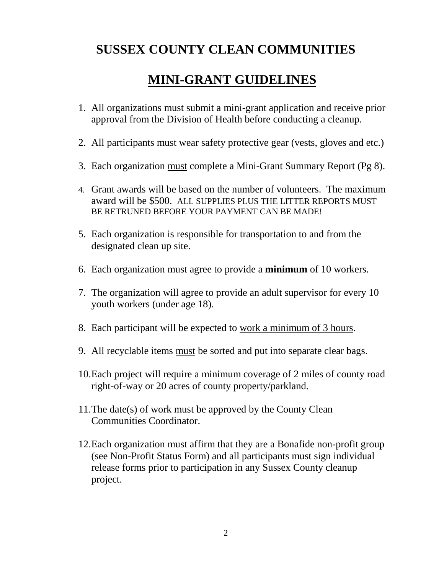### **SUSSEX COUNTY CLEAN COMMUNITIES**

### **MINI-GRANT GUIDELINES**

- 1. All organizations must submit a mini-grant application and receive prior approval from the Division of Health before conducting a cleanup.
- 2. All participants must wear safety protective gear (vests, gloves and etc.)
- 3. Each organization must complete a Mini-Grant Summary Report (Pg 8).
- 4. Grant awards will be based on the number of volunteers. The maximum award will be \$500. ALL SUPPLIES PLUS THE LITTER REPORTS MUST BE RETRUNED BEFORE YOUR PAYMENT CAN BE MADE!
- 5. Each organization is responsible for transportation to and from the designated clean up site.
- 6. Each organization must agree to provide a **minimum** of 10 workers.
- 7. The organization will agree to provide an adult supervisor for every 10 youth workers (under age 18).
- 8. Each participant will be expected to work a minimum of 3 hours.
- 9. All recyclable items must be sorted and put into separate clear bags.
- 10.Each project will require a minimum coverage of 2 miles of county road right-of-way or 20 acres of county property/parkland.
- 11.The date(s) of work must be approved by the County Clean Communities Coordinator.
- 12.Each organization must affirm that they are a Bonafide non-profit group (see Non-Profit Status Form) and all participants must sign individual release forms prior to participation in any Sussex County cleanup project.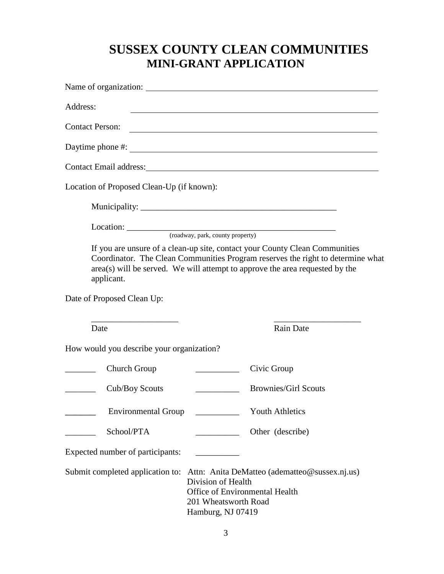### **SUSSEX COUNTY CLEAN COMMUNITIES MINI-GRANT APPLICATION**

| Address:                                                                                                                       |                                                                                                   | <u> 1989 - Johann Stoff, deutscher Stoff, der Stoff, der Stoff, der Stoff, der Stoff, der Stoff, der Stoff, der S</u>                                                                                                                          |
|--------------------------------------------------------------------------------------------------------------------------------|---------------------------------------------------------------------------------------------------|------------------------------------------------------------------------------------------------------------------------------------------------------------------------------------------------------------------------------------------------|
| <b>Contact Person:</b>                                                                                                         |                                                                                                   |                                                                                                                                                                                                                                                |
|                                                                                                                                |                                                                                                   |                                                                                                                                                                                                                                                |
|                                                                                                                                |                                                                                                   |                                                                                                                                                                                                                                                |
| Location of Proposed Clean-Up (if known):                                                                                      |                                                                                                   |                                                                                                                                                                                                                                                |
|                                                                                                                                |                                                                                                   |                                                                                                                                                                                                                                                |
|                                                                                                                                |                                                                                                   |                                                                                                                                                                                                                                                |
| applicant.                                                                                                                     |                                                                                                   | If you are unsure of a clean-up site, contact your County Clean Communities<br>Coordinator. The Clean Communities Program reserves the right to determine what<br>area(s) will be served. We will attempt to approve the area requested by the |
| Date of Proposed Clean Up:                                                                                                     |                                                                                                   |                                                                                                                                                                                                                                                |
| <u> 1989 - Johann John Harry Harry Harry Harry Harry Harry Harry Harry Harry Harry Harry Harry Harry Harry Harry H</u><br>Date |                                                                                                   | Rain Date                                                                                                                                                                                                                                      |
| How would you describe your organization?                                                                                      |                                                                                                   |                                                                                                                                                                                                                                                |
| Church Group                                                                                                                   | Civic Group                                                                                       |                                                                                                                                                                                                                                                |
| Cub/Boy Scouts                                                                                                                 |                                                                                                   | <b>Brownies/Girl Scouts</b>                                                                                                                                                                                                                    |
| <b>Environmental Group</b>                                                                                                     |                                                                                                   | <b>Youth Athletics</b>                                                                                                                                                                                                                         |
| School/PTA                                                                                                                     |                                                                                                   | Other (describe)                                                                                                                                                                                                                               |
| Expected number of participants:                                                                                               | <u> 1989 - Johann Barnett, fransk konge</u>                                                       |                                                                                                                                                                                                                                                |
| Submit completed application to:                                                                                               | Division of Health<br>Office of Environmental Health<br>201 Wheatsworth Road<br>Hamburg, NJ 07419 | Attn: Anita DeMatteo (adematteo@sussex.nj.us)                                                                                                                                                                                                  |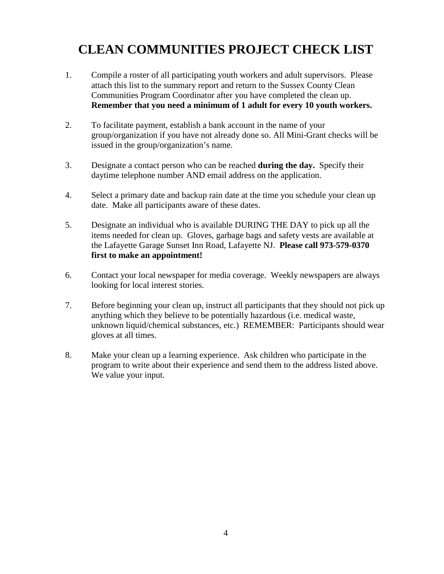## **CLEAN COMMUNITIES PROJECT CHECK LIST**

- 1. Compile a roster of all participating youth workers and adult supervisors. Please attach this list to the summary report and return to the Sussex County Clean Communities Program Coordinator after you have completed the clean up. **Remember that you need a minimum of 1 adult for every 10 youth workers.**
- 2. To facilitate payment, establish a bank account in the name of your group/organization if you have not already done so. All Mini-Grant checks will be issued in the group/organization's name.
- 3. Designate a contact person who can be reached **during the day.** Specify their daytime telephone number AND email address on the application.
- 4. Select a primary date and backup rain date at the time you schedule your clean up date. Make all participants aware of these dates.
- 5. Designate an individual who is available DURING THE DAY to pick up all the items needed for clean up. Gloves, garbage bags and safety vests are available at the Lafayette Garage Sunset Inn Road, Lafayette NJ. **Please call 973-579-0370 first to make an appointment!**
- 6. Contact your local newspaper for media coverage. Weekly newspapers are always looking for local interest stories.
- 7. Before beginning your clean up, instruct all participants that they should not pick up anything which they believe to be potentially hazardous (i.e. medical waste, unknown liquid/chemical substances, etc.) REMEMBER: Participants should wear gloves at all times.
- 8. Make your clean up a learning experience. Ask children who participate in the program to write about their experience and send them to the address listed above. We value your input.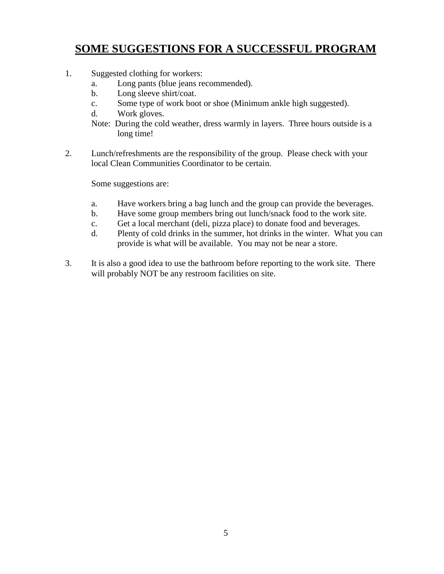### **SOME SUGGESTIONS FOR A SUCCESSFUL PROGRAM**

- 1. Suggested clothing for workers:
	- a. Long pants (blue jeans recommended).
	- b. Long sleeve shirt/coat.
	- c. Some type of work boot or shoe (Minimum ankle high suggested).
	- d. Work gloves.
	- Note: During the cold weather, dress warmly in layers. Three hours outside is a long time!
- 2. Lunch/refreshments are the responsibility of the group. Please check with your local Clean Communities Coordinator to be certain.

Some suggestions are:

- a. Have workers bring a bag lunch and the group can provide the beverages.
- b. Have some group members bring out lunch/snack food to the work site.
- c. Get a local merchant (deli, pizza place) to donate food and beverages.
- d. Plenty of cold drinks in the summer, hot drinks in the winter. What you can provide is what will be available. You may not be near a store.
- 3. It is also a good idea to use the bathroom before reporting to the work site. There will probably NOT be any restroom facilities on site.